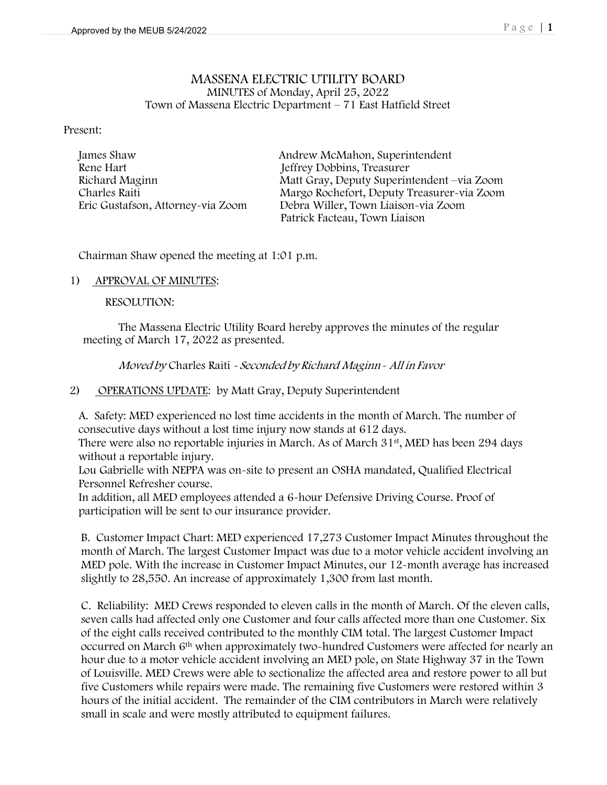#### MASSENA ELECTRIC UTILITY BOARD MINUTES of Monday, April 25, 2022 Town of Massena Electric Department – 71 East Hatfield Street

Present:

 James Shaw Andrew McMahon, Superintendent Rene Hart Jeffrey Dobbins, Treasurer

Richard Maginn Matt Gray, Deputy Superintendent –via Zoom Charles Raiti Margo Rochefort, Deputy Treasurer-via Zoom Eric Gustafson, Attorney-via Zoom Debra Willer, Town Liaison-via Zoom Patrick Facteau, Town Liaison

Chairman Shaw opened the meeting at 1:01 p.m.

#### 1) APPROVAL OF MINUTES:

RESOLUTION:

The Massena Electric Utility Board hereby approves the minutes of the regular meeting of March 17, 2022 as presented.

Moved by Charles Raiti - Seconded by Richard Maginn - All in Favor

2) OPERATIONS UPDATE: by Matt Gray, Deputy Superintendent

A. Safety: MED experienced no lost time accidents in the month of March. The number of consecutive days without a lost time injury now stands at 612 days.

There were also no reportable injuries in March. As of March 31<sup>st</sup>, MED has been 294 days without a reportable injury.

Lou Gabrielle with NEPPA was on-site to present an OSHA mandated, Qualified Electrical Personnel Refresher course.

In addition, all MED employees attended a 6-hour Defensive Driving Course. Proof of participation will be sent to our insurance provider.

B. Customer Impact Chart: MED experienced 17,273 Customer Impact Minutes throughout the month of March. The largest Customer Impact was due to a motor vehicle accident involving an MED pole. With the increase in Customer Impact Minutes, our 12-month average has increased slightly to 28,550. An increase of approximately 1,300 from last month.

C. Reliability: MED Crews responded to eleven calls in the month of March. Of the eleven calls, seven calls had affected only one Customer and four calls affected more than one Customer. Six of the eight calls received contributed to the monthly CIM total. The largest Customer Impact occurred on March 6th when approximately two-hundred Customers were affected for nearly an hour due to a motor vehicle accident involving an MED pole, on State Highway 37 in the Town of Louisville. MED Crews were able to sectionalize the affected area and restore power to all but five Customers while repairs were made. The remaining five Customers were restored within 3 hours of the initial accident. The remainder of the CIM contributors in March were relatively small in scale and were mostly attributed to equipment failures.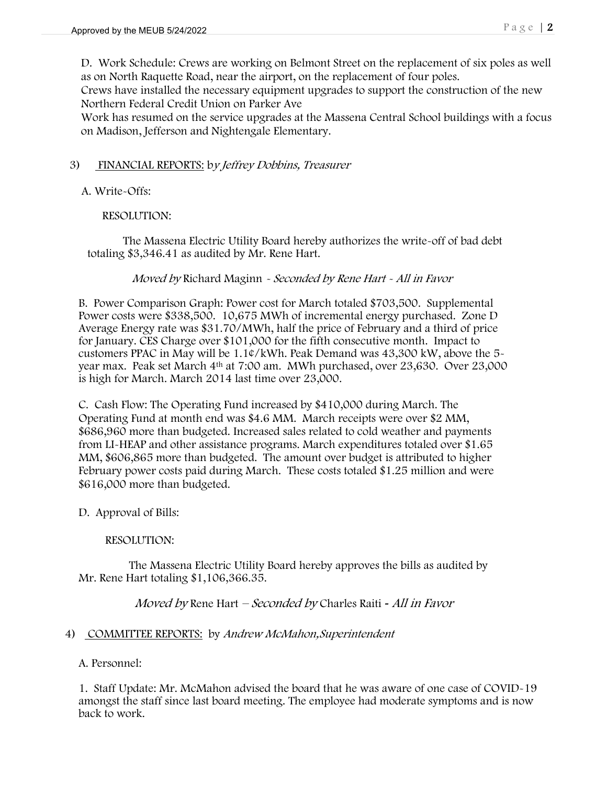D. Work Schedule: Crews are working on Belmont Street on the replacement of six poles as well as on North Raquette Road, near the airport, on the replacement of four poles.

Crews have installed the necessary equipment upgrades to support the construction of the new Northern Federal Credit Union on Parker Ave

Work has resumed on the service upgrades at the Massena Central School buildings with a focus on Madison, Jefferson and Nightengale Elementary.

# 3) FINANCIAL REPORTS: by Jeffrey Dobbins, Treasurer

A. Write-Offs:

# RESOLUTION:

The Massena Electric Utility Board hereby authorizes the write-off of bad debt totaling \$3,346.41 as audited by Mr. Rene Hart.

## Moved by Richard Maginn - Seconded by Rene Hart - All in Favor

B. Power Comparison Graph: Power cost for March totaled \$703,500. Supplemental Power costs were \$338,500. 10,675 MWh of incremental energy purchased. Zone D Average Energy rate was \$31.70/MWh, half the price of February and a third of price for January. CES Charge over \$101,000 for the fifth consecutive month. Impact to customers PPAC in May will be 1.1¢/kWh. Peak Demand was 43,300 kW, above the 5 year max. Peak set March 4th at 7:00 am. MWh purchased, over 23,630. Over 23,000 is high for March. March 2014 last time over 23,000.

C. Cash Flow: The Operating Fund increased by \$410,000 during March. The Operating Fund at month end was \$4.6 MM. March receipts were over \$2 MM, \$686,960 more than budgeted. Increased sales related to cold weather and payments from LI-HEAP and other assistance programs. March expenditures totaled over \$1.65 MM, \$606,865 more than budgeted. The amount over budget is attributed to higher February power costs paid during March. These costs totaled \$1.25 million and were \$616,000 more than budgeted.

## D. Approval of Bills:

## RESOLUTION:

 The Massena Electric Utility Board hereby approves the bills as audited by Mr. Rene Hart totaling \$1,106,366.35.

## Moved by Rene Hart – Seconded by Charles Raiti *-* All in Favor

## 4) COMMITTEE REPORTS: by Andrew McMahon, Superintendent

A. Personnel:

1. Staff Update: Mr. McMahon advised the board that he was aware of one case of COVID-19 amongst the staff since last board meeting. The employee had moderate symptoms and is now back to work.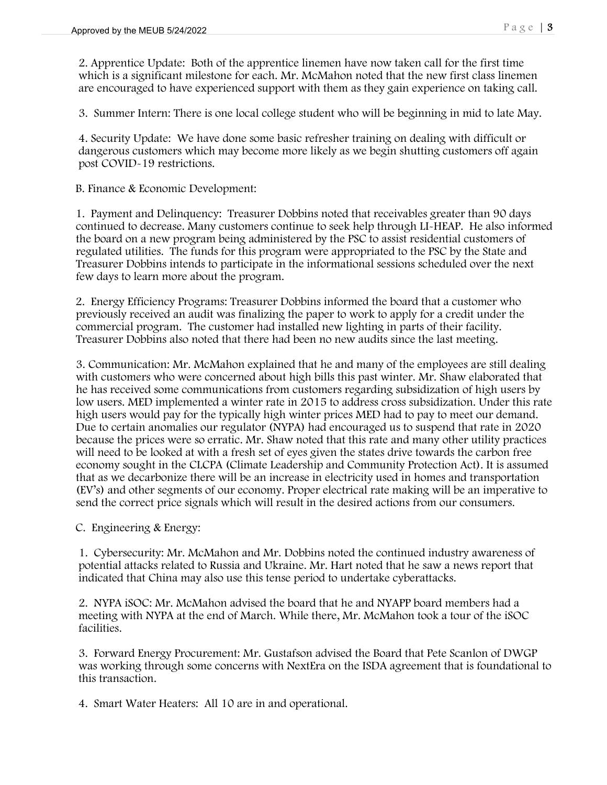2. Apprentice Update: Both of the apprentice linemen have now taken call for the first time which is a significant milestone for each. Mr. McMahon noted that the new first class linemen are encouraged to have experienced support with them as they gain experience on taking call.

3. Summer Intern: There is one local college student who will be beginning in mid to late May.

4. Security Update: We have done some basic refresher training on dealing with difficult or dangerous customers which may become more likely as we begin shutting customers off again post COVID-19 restrictions.

B. Finance & Economic Development:

 1. Payment and Delinquency: Treasurer Dobbins noted that receivables greater than 90 days continued to decrease. Many customers continue to seek help through LI-HEAP. He also informed the board on a new program being administered by the PSC to assist residential customers of regulated utilities. The funds for this program were appropriated to the PSC by the State and Treasurer Dobbins intends to participate in the informational sessions scheduled over the next few days to learn more about the program.

 2. Energy Efficiency Programs: Treasurer Dobbins informed the board that a customer who previously received an audit was finalizing the paper to work to apply for a credit under the commercial program. The customer had installed new lighting in parts of their facility. Treasurer Dobbins also noted that there had been no new audits since the last meeting.

3. Communication: Mr. McMahon explained that he and many of the employees are still dealing with customers who were concerned about high bills this past winter. Mr. Shaw elaborated that he has received some communications from customers regarding subsidization of high users by low users. MED implemented a winter rate in 2015 to address cross subsidization. Under this rate high users would pay for the typically high winter prices MED had to pay to meet our demand. Due to certain anomalies our regulator (NYPA) had encouraged us to suspend that rate in 2020 because the prices were so erratic. Mr. Shaw noted that this rate and many other utility practices will need to be looked at with a fresh set of eyes given the states drive towards the carbon free economy sought in the CLCPA (Climate Leadership and Community Protection Act). It is assumed that as we decarbonize there will be an increase in electricity used in homes and transportation (EV's) and other segments of our economy. Proper electrical rate making will be an imperative to send the correct price signals which will result in the desired actions from our consumers.

C. Engineering & Energy:

1. Cybersecurity: Mr. McMahon and Mr. Dobbins noted the continued industry awareness of potential attacks related to Russia and Ukraine. Mr. Hart noted that he saw a news report that indicated that China may also use this tense period to undertake cyberattacks.

2. NYPA iSOC: Mr. McMahon advised the board that he and NYAPP board members had a meeting with NYPA at the end of March. While there, Mr. McMahon took a tour of the iSOC facilities.

3. Forward Energy Procurement: Mr. Gustafson advised the Board that Pete Scanlon of DWGP was working through some concerns with NextEra on the ISDA agreement that is foundational to this transaction.

4. Smart Water Heaters: All 10 are in and operational.